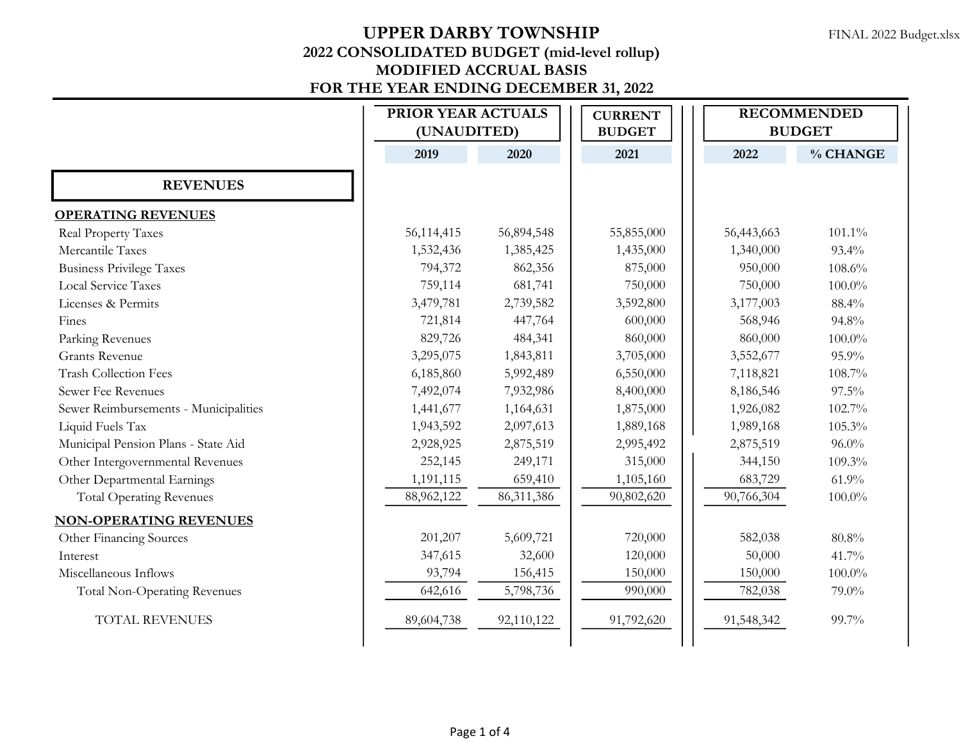|                                       |            | PRIOR YEAR ACTUALS<br>(UNAUDITED) |            | <b>RECOMMENDED</b><br><b>BUDGET</b> |           |
|---------------------------------------|------------|-----------------------------------|------------|-------------------------------------|-----------|
|                                       | 2019       | 2020                              | 2021       | 2022                                | % CHANGE  |
| <b>REVENUES</b>                       |            |                                   |            |                                     |           |
| <b>OPERATING REVENUES</b>             |            |                                   |            |                                     |           |
| Real Property Taxes                   | 56,114,415 | 56,894,548                        | 55,855,000 | 56,443,663                          | $101.1\%$ |
| Mercantile Taxes                      | 1,532,436  | 1,385,425                         | 1,435,000  | 1,340,000                           | 93.4%     |
| <b>Business Privilege Taxes</b>       | 794,372    | 862,356                           | 875,000    | 950,000                             | 108.6%    |
| <b>Local Service Taxes</b>            | 759,114    | 681,741                           | 750,000    | 750,000                             | $100.0\%$ |
| Licenses & Permits                    | 3,479,781  | 2,739,582                         | 3,592,800  | 3,177,003                           | 88.4%     |
| Fines                                 | 721,814    | 447,764                           | 600,000    | 568,946                             | 94.8%     |
| Parking Revenues                      | 829,726    | 484,341                           | 860,000    | 860,000                             | $100.0\%$ |
| <b>Grants Revenue</b>                 | 3,295,075  | 1,843,811                         | 3,705,000  | 3,552,677                           | 95.9%     |
| <b>Trash Collection Fees</b>          | 6,185,860  | 5,992,489                         | 6,550,000  | 7,118,821                           | 108.7%    |
| Sewer Fee Revenues                    | 7,492,074  | 7,932,986                         | 8,400,000  | 8,186,546                           | 97.5%     |
| Sewer Reimbursements - Municipalities | 1,441,677  | 1,164,631                         | 1,875,000  | 1,926,082                           | 102.7%    |
| Liquid Fuels Tax                      | 1,943,592  | 2,097,613                         | 1,889,168  | 1,989,168                           | 105.3%    |
| Municipal Pension Plans - State Aid   | 2,928,925  | 2,875,519                         | 2,995,492  | 2,875,519                           | $96.0\%$  |
| Other Intergovernmental Revenues      | 252,145    | 249,171                           | 315,000    | 344,150                             | 109.3%    |
| Other Departmental Earnings           | 1,191,115  | 659,410                           | 1,105,160  | 683,729                             | 61.9%     |
| <b>Total Operating Revenues</b>       | 88,962,122 | 86, 311, 386                      | 90,802,620 | 90,766,304                          | $100.0\%$ |
| <b>NON-OPERATING REVENUES</b>         |            |                                   |            |                                     |           |
| Other Financing Sources               | 201,207    | 5,609,721                         | 720,000    | 582,038                             | 80.8%     |
| Interest                              | 347,615    | 32,600                            | 120,000    | 50,000                              | 41.7%     |
| Miscellaneous Inflows                 | 93,794     | 156,415                           | 150,000    | 150,000                             | $100.0\%$ |
| <b>Total Non-Operating Revenues</b>   | 642,616    | 5,798,736                         | 990,000    | 782,038                             | 79.0%     |
| <b>TOTAL REVENUES</b>                 | 89,604,738 | 92,110,122                        | 91,792,620 | 91,548,342                          | 99.7%     |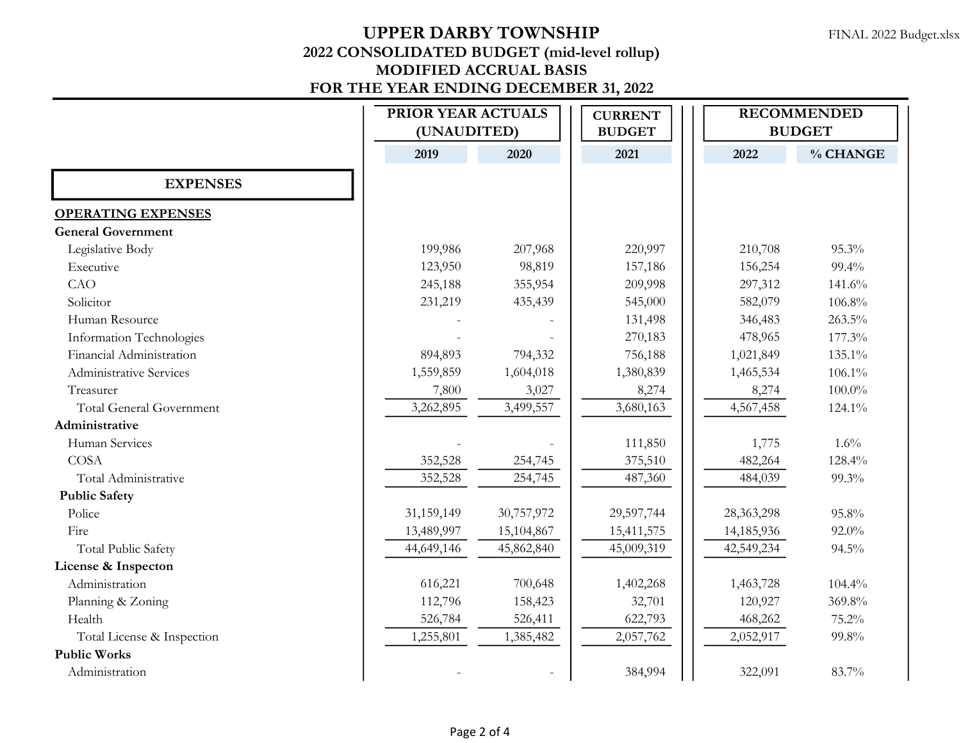|                                 | PRIOR YEAR ACTUALS<br>(UNAUDITED) |            | <b>CURRENT</b><br><b>BUDGET</b> | <b>RECOMMENDED</b><br><b>BUDGET</b> |           |
|---------------------------------|-----------------------------------|------------|---------------------------------|-------------------------------------|-----------|
|                                 | 2019                              | 2020       | 2021                            | 2022                                | % CHANGE  |
| <b>EXPENSES</b>                 |                                   |            |                                 |                                     |           |
| <b>OPERATING EXPENSES</b>       |                                   |            |                                 |                                     |           |
| <b>General Government</b>       |                                   |            |                                 |                                     |           |
| Legislative Body                | 199,986                           | 207,968    | 220,997                         | 210,708                             | 95.3%     |
| Executive                       | 123,950                           | 98,819     | 157,186                         | 156,254                             | 99.4%     |
| CAO                             | 245,188                           | 355,954    | 209,998                         | 297,312                             | 141.6%    |
| Solicitor                       | 231,219                           | 435,439    | 545,000                         | 582,079                             | 106.8%    |
| Human Resource                  |                                   |            | 131,498                         | 346,483                             | 263.5%    |
| Information Technologies        |                                   |            | 270,183                         | 478,965                             | 177.3%    |
| Financial Administration        | 894,893                           | 794,332    | 756,188                         | 1,021,849                           | 135.1%    |
| Administrative Services         | 1,559,859                         | 1,604,018  | 1,380,839                       | 1,465,534                           | $106.1\%$ |
| Treasurer                       | 7,800                             | 3,027      | 8,274                           | 8,274                               | $100.0\%$ |
| <b>Total General Government</b> | 3,262,895                         | 3,499,557  | 3,680,163                       | 4,567,458                           | 124.1%    |
| Administrative                  |                                   |            |                                 |                                     |           |
| Human Services                  |                                   |            | 111,850                         | 1,775                               | 1.6%      |
| <b>COSA</b>                     | 352,528                           | 254,745    | 375,510                         | 482,264                             | 128.4%    |
| Total Administrative            | 352,528                           | 254,745    | 487,360                         | 484,039                             | 99.3%     |
| <b>Public Safety</b>            |                                   |            |                                 |                                     |           |
| Police                          | 31,159,149                        | 30,757,972 | 29,597,744                      | 28,363,298                          | 95.8%     |
| Fire                            | 13,489,997                        | 15,104,867 | 15,411,575                      | 14,185,936                          | 92.0%     |
| <b>Total Public Safety</b>      | 44,649,146                        | 45,862,840 | 45,009,319                      | 42,549,234                          | 94.5%     |
| License & Inspecton             |                                   |            |                                 |                                     |           |
| Administration                  | 616,221                           | 700,648    | 1,402,268                       | 1,463,728                           | 104.4%    |
| Planning & Zoning               | 112,796                           | 158,423    | 32,701                          | 120,927                             | 369.8%    |
| Health                          | 526,784                           | 526,411    | 622,793                         | 468,262                             | 75.2%     |
| Total License & Inspection      | 1,255,801                         | 1,385,482  | 2,057,762                       | 2,052,917                           | 99.8%     |
| <b>Public Works</b>             |                                   |            |                                 |                                     |           |
| Administration                  |                                   |            | 384,994                         | 322,091                             | 83.7%     |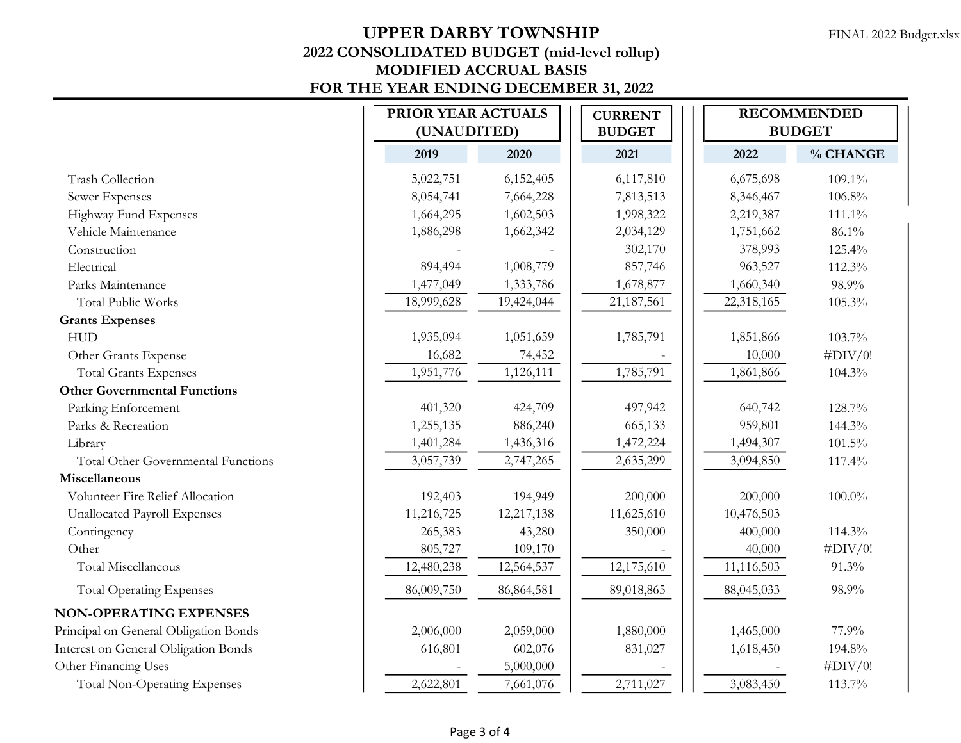|                                             |      | PRIOR YEAR ACTUALS<br>(UNAUDITED) |            | <b>CURRENT</b><br><b>BUDGET</b> |  |            | <b>RECOMMENDED</b><br><b>BUDGET</b> |  |
|---------------------------------------------|------|-----------------------------------|------------|---------------------------------|--|------------|-------------------------------------|--|
|                                             | 2019 |                                   | 2020       | 2021                            |  | 2022       | % CHANGE                            |  |
| <b>Trash Collection</b>                     |      | 5,022,751                         | 6,152,405  | 6,117,810                       |  | 6,675,698  | 109.1%                              |  |
| Sewer Expenses                              |      | 8,054,741                         | 7,664,228  | 7,813,513                       |  | 8,346,467  | 106.8%                              |  |
| Highway Fund Expenses                       |      | 1,664,295                         | 1,602,503  | 1,998,322                       |  | 2,219,387  | 111.1%                              |  |
| Vehicle Maintenance                         |      | 1,886,298                         | 1,662,342  | 2,034,129                       |  | 1,751,662  | 86.1%                               |  |
| Construction                                |      |                                   |            | 302,170                         |  | 378,993    | 125.4%                              |  |
| Electrical                                  |      | 894,494                           | 1,008,779  | 857,746                         |  | 963,527    | 112.3%                              |  |
| Parks Maintenance                           |      | 1,477,049                         | 1,333,786  | 1,678,877                       |  | 1,660,340  | 98.9%                               |  |
| <b>Total Public Works</b>                   |      | 18,999,628                        | 19,424,044 | 21,187,561                      |  | 22,318,165 | 105.3%                              |  |
| <b>Grants Expenses</b>                      |      |                                   |            |                                 |  |            |                                     |  |
| <b>HUD</b>                                  |      | 1,935,094                         | 1,051,659  | 1,785,791                       |  | 1,851,866  | 103.7%                              |  |
| Other Grants Expense                        |      | 16,682                            | 74,452     |                                 |  | 10,000     | $\#$ DIV/0!                         |  |
| <b>Total Grants Expenses</b>                |      | 1,951,776                         | 1,126,111  | 1,785,791                       |  | 1,861,866  | 104.3%                              |  |
| <b>Other Governmental Functions</b>         |      |                                   |            |                                 |  |            |                                     |  |
| Parking Enforcement                         |      | 401,320                           | 424,709    | 497,942                         |  | 640,742    | 128.7%                              |  |
| Parks & Recreation                          |      | 1,255,135                         | 886,240    | 665,133                         |  | 959,801    | 144.3%                              |  |
| Library                                     |      | 1,401,284                         | 1,436,316  | 1,472,224                       |  | 1,494,307  | $101.5\%$                           |  |
| Total Other Governmental Functions          |      | 3,057,739                         | 2,747,265  | 2,635,299                       |  | 3,094,850  | 117.4%                              |  |
| Miscellaneous                               |      |                                   |            |                                 |  |            |                                     |  |
| Volunteer Fire Relief Allocation            |      | 192,403                           | 194,949    | 200,000                         |  | 200,000    | $100.0\%$                           |  |
| Unallocated Payroll Expenses                |      | 11,216,725                        | 12,217,138 | 11,625,610                      |  | 10,476,503 |                                     |  |
| Contingency                                 |      | 265,383                           | 43,280     | 350,000                         |  | 400,000    | 114.3%                              |  |
| Other                                       |      | 805,727                           | 109,170    |                                 |  | 40,000     | $\#$ DIV/0!                         |  |
| Total Miscellaneous                         |      | 12,480,238                        | 12,564,537 | 12,175,610                      |  | 11,116,503 | 91.3%                               |  |
| <b>Total Operating Expenses</b>             |      | 86,009,750                        | 86,864,581 | 89,018,865                      |  | 88,045,033 | 98.9%                               |  |
| <b>NON-OPERATING EXPENSES</b>               |      |                                   |            |                                 |  |            |                                     |  |
| Principal on General Obligation Bonds       |      | 2,006,000                         | 2,059,000  | 1,880,000                       |  | 1,465,000  | 77.9%                               |  |
| <b>Interest on General Obligation Bonds</b> |      | 616,801                           | 602,076    | 831,027                         |  | 1,618,450  | 194.8%                              |  |
| Other Financing Uses                        |      |                                   | 5,000,000  |                                 |  |            | $\#$ DIV/0!                         |  |
| <b>Total Non-Operating Expenses</b>         |      | 2,622,801                         | 7,661,076  | 2,711,027                       |  | 3,083,450  | 113.7%                              |  |